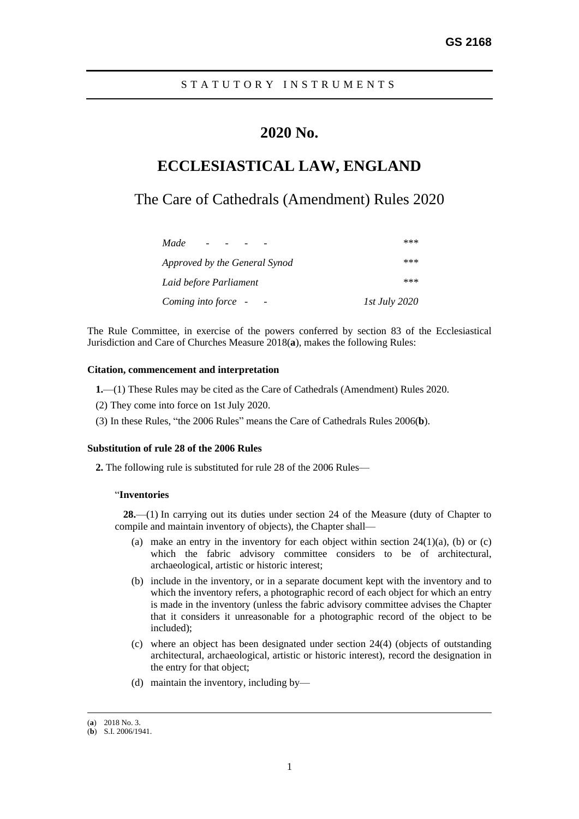## **2020 No.**

# **ECCLESIASTICAL LAW, ENGLAND**

## The Care of Cathedrals (Amendment) Rules 2020

| Made                          | ***                  |
|-------------------------------|----------------------|
| Approved by the General Synod | ***                  |
| Laid before Parliament        | ***                  |
| Coming into force -           | <i>Ist July 2020</i> |

The Rule Committee, in exercise of the powers conferred by section 83 of the Ecclesiastical Jurisdiction and Care of Churches Measure 2018(**a**), makes the following Rules:

### **Citation, commencement and interpretation**

- **1.**—(1) These Rules may be cited as the Care of Cathedrals (Amendment) Rules 2020.
- (2) They come into force on 1st July 2020.
- (3) In these Rules, "the 2006 Rules" means the Care of Cathedrals Rules 2006(**b**).

#### **Substitution of rule 28 of the 2006 Rules**

**2.** The following rule is substituted for rule 28 of the 2006 Rules—

#### "**Inventories**

**28.**—(1) In carrying out its duties under section 24 of the Measure (duty of Chapter to compile and maintain inventory of objects), the Chapter shall—

- (a) make an entry in the inventory for each object within section  $24(1)(a)$ , (b) or (c) which the fabric advisory committee considers to be of architectural, archaeological, artistic or historic interest;
- (b) include in the inventory, or in a separate document kept with the inventory and to which the inventory refers, a photographic record of each object for which an entry is made in the inventory (unless the fabric advisory committee advises the Chapter that it considers it unreasonable for a photographic record of the object to be included);
- (c) where an object has been designated under section 24(4) (objects of outstanding architectural, archaeological, artistic or historic interest), record the designation in the entry for that object;
- (d) maintain the inventory, including by—

<sup>(</sup>**a**) 2018 No. 3.

<sup>(</sup>**b**) S.I. 2006/1941.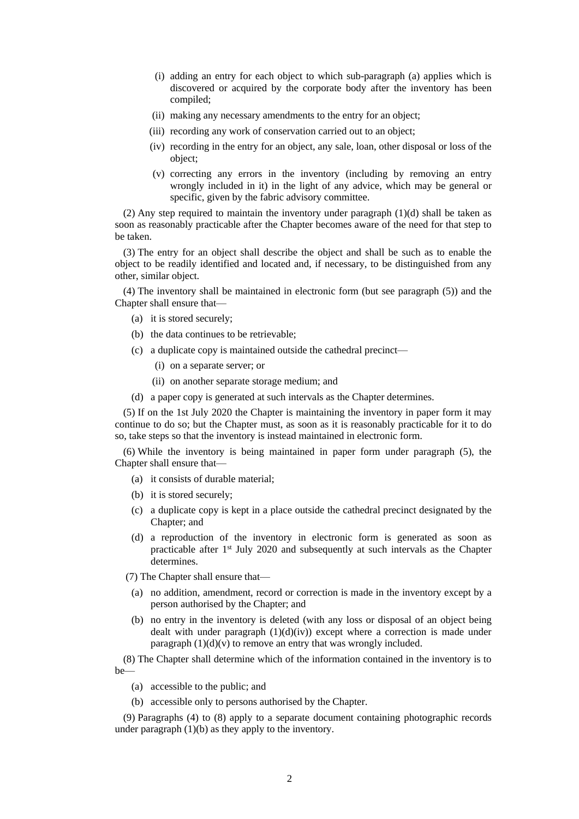- (i) adding an entry for each object to which sub-paragraph (a) applies which is discovered or acquired by the corporate body after the inventory has been compiled;
- (ii) making any necessary amendments to the entry for an object;
- (iii) recording any work of conservation carried out to an object;
- (iv) recording in the entry for an object, any sale, loan, other disposal or loss of the object;
- (v) correcting any errors in the inventory (including by removing an entry wrongly included in it) in the light of any advice, which may be general or specific, given by the fabric advisory committee.

(2) Any step required to maintain the inventory under paragraph (1)(d) shall be taken as soon as reasonably practicable after the Chapter becomes aware of the need for that step to be taken.

(3) The entry for an object shall describe the object and shall be such as to enable the object to be readily identified and located and, if necessary, to be distinguished from any other, similar object.

(4) The inventory shall be maintained in electronic form (but see paragraph (5)) and the Chapter shall ensure that—

- (a) it is stored securely;
- (b) the data continues to be retrievable;
- (c) a duplicate copy is maintained outside the cathedral precinct—
	- (i) on a separate server; or
	- (ii) on another separate storage medium; and
- (d) a paper copy is generated at such intervals as the Chapter determines.

(5) If on the 1st July 2020 the Chapter is maintaining the inventory in paper form it may continue to do so; but the Chapter must, as soon as it is reasonably practicable for it to do so, take steps so that the inventory is instead maintained in electronic form.

(6) While the inventory is being maintained in paper form under paragraph (5), the Chapter shall ensure that—

- (a) it consists of durable material;
- (b) it is stored securely;
- (c) a duplicate copy is kept in a place outside the cathedral precinct designated by the Chapter; and
- (d) a reproduction of the inventory in electronic form is generated as soon as practicable after 1st July 2020 and subsequently at such intervals as the Chapter determines.
- (7) The Chapter shall ensure that—
	- (a) no addition, amendment, record or correction is made in the inventory except by a person authorised by the Chapter; and
	- (b) no entry in the inventory is deleted (with any loss or disposal of an object being dealt with under paragraph  $(1)(d)(iv)$  except where a correction is made under paragraph  $(1)(d)(v)$  to remove an entry that was wrongly included.

(8) The Chapter shall determine which of the information contained in the inventory is to be—

- (a) accessible to the public; and
- (b) accessible only to persons authorised by the Chapter.

(9) Paragraphs (4) to (8) apply to a separate document containing photographic records under paragraph (1)(b) as they apply to the inventory.